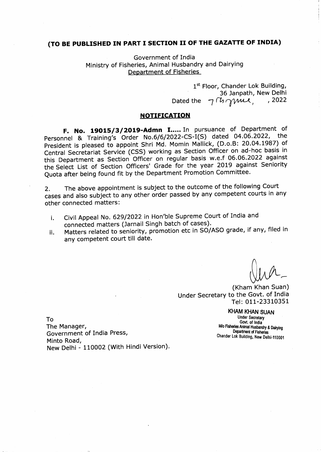## (TO BE PUBLISHED IN PART I SECTION II OF THE GAZATTE OF INDIA)

Government of India Ministry of Fisheries, Animal Husbandry and Dairying Department of Fisheries

> 1st Floor, Chander Lok Building, 36 Janpath, New Delhi Dated the  $\neg$  (b  $\gamma$ me,  $, 2022$

## **NOTIFICATION**

F. No. 19015/3/2019-Admn I..... In pursuance of Department of Personnel & Training's Order No.6/6/2022-CS-I(S) dated 04.06.2022, the President is pleased to appoint Shri Md. Momin Mallick, (D.o.B: 20.04.1987) of Central Secretariat Service (CSS) working as Section Officer on ad-hoc basis in this Department as Section Officer on regular basis w.e.f 06.06.2022 against the Select List of Section Officers' Grade for the year 2019 against Seniority Quota after being found fit by the Department Promotion Committee.

The above appointment is subject to the outcome of the following Court  $2.$ cases and also subject to any other order passed by any competent courts in any other connected matters:

- Civil Appeal No. 629/2022 in Hon'ble Supreme Court of India and i. connected matters (Jarnail Singh batch of cases).
- Matters related to seniority, promotion etc in SO/ASO grade, if any, filed in ii. any competent court till date.

(Kham Khan Suan) Under Secretary to the Govt. of India Tel: 011-23310351

To

The Manager, Government of India Press, Minto Road, New Delhi - 110002 (With Hindi Version).

**KHAM KHAN SUAN Under Secretary** Govt. of India M/o Fisheries Animal Husbandry & Dairying Department of Fisheries Chander Lok Building, New Delhi-110001